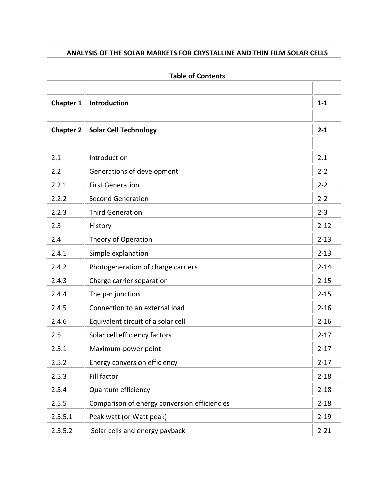| <b>ANALYSIS OF THE SOLAR MARKETS FOR CRYSTALLINE AND THIN FILM SOLAR CELLS</b> |                                              |          |
|--------------------------------------------------------------------------------|----------------------------------------------|----------|
|                                                                                |                                              |          |
|                                                                                | <b>Table of Contents</b>                     |          |
| <b>Chapter 1</b>                                                               | Introduction                                 | $1 - 1$  |
| <b>Chapter 2</b>                                                               | <b>Solar Cell Technology</b>                 | $2 - 1$  |
| 2.1                                                                            | Introduction                                 | 2.1      |
| 2.2                                                                            | Generations of development                   | $2 - 2$  |
| 2.2.1                                                                          | <b>First Generation</b>                      | $2 - 2$  |
| 2.2.2                                                                          | <b>Second Generation</b>                     | $2 - 2$  |
| 2.2.3                                                                          | <b>Third Generation</b>                      | $2 - 3$  |
| 2.3                                                                            | History                                      | $2 - 12$ |
| 2.4                                                                            | Theory of Operation                          | $2 - 13$ |
| 2.4.1                                                                          | Simple explanation                           | $2 - 13$ |
| 2.4.2                                                                          | Photogeneration of charge carriers           | $2 - 14$ |
| 2.4.3                                                                          | Charge carrier separation                    | $2 - 15$ |
| 2.4.4                                                                          | The p-n junction                             | $2 - 15$ |
| 2.4.5                                                                          | Connection to an external load               | $2 - 16$ |
| 2.4.6                                                                          | Equivalent circuit of a solar cell           | $2 - 16$ |
| 2.5                                                                            | Solar cell efficiency factors                | $2 - 17$ |
| 2.5.1                                                                          | Maximum-power point                          | $2 - 17$ |
| 2.5.2                                                                          | Energy conversion efficiency                 | $2 - 17$ |
| 2.5.3                                                                          | Fill factor                                  | $2 - 18$ |
| 2.5.4                                                                          | Quantum efficiency                           | $2 - 18$ |
| 2.5.5                                                                          | Comparison of energy conversion efficiencies | $2 - 18$ |
| 2.5.5.1                                                                        | Peak watt (or Watt peak)                     | $2 - 19$ |
| 2.5.5.2                                                                        | Solar cells and energy payback               | $2 - 21$ |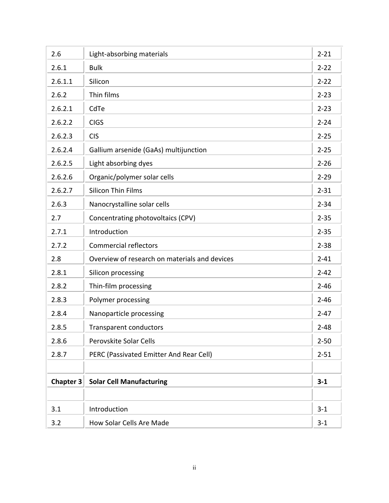| 2.6              | Light-absorbing materials                     | $2 - 21$ |
|------------------|-----------------------------------------------|----------|
| 2.6.1            | <b>Bulk</b>                                   | $2 - 22$ |
| 2.6.1.1          | Silicon                                       | $2 - 22$ |
| 2.6.2            | Thin films                                    | $2 - 23$ |
| 2.6.2.1          | CdTe                                          | $2 - 23$ |
| 2.6.2.2          | <b>CIGS</b>                                   | $2 - 24$ |
| 2.6.2.3          | <b>CIS</b>                                    | $2 - 25$ |
| 2.6.2.4          | Gallium arsenide (GaAs) multijunction         | $2 - 25$ |
| 2.6.2.5          | Light absorbing dyes                          | $2 - 26$ |
| 2.6.2.6          | Organic/polymer solar cells                   | $2 - 29$ |
| 2.6.2.7          | <b>Silicon Thin Films</b>                     | $2 - 31$ |
| 2.6.3            | Nanocrystalline solar cells                   | $2 - 34$ |
| 2.7              | Concentrating photovoltaics (CPV)             | $2 - 35$ |
| 2.7.1            | Introduction                                  | $2 - 35$ |
| 2.7.2            | <b>Commercial reflectors</b>                  | $2 - 38$ |
| 2.8              | Overview of research on materials and devices | $2 - 41$ |
| 2.8.1            | Silicon processing                            | $2 - 42$ |
| 2.8.2            | Thin-film processing                          | $2 - 46$ |
| 2.8.3            | Polymer processing                            | $2 - 46$ |
| 2.8.4            | Nanoparticle processing                       | $2 - 47$ |
| 2.8.5            | <b>Transparent conductors</b>                 | $2 - 48$ |
| 2.8.6            | Perovskite Solar Cells                        | $2 - 50$ |
| 2.8.7            | PERC (Passivated Emitter And Rear Cell)       | $2 - 51$ |
|                  |                                               |          |
| <b>Chapter 3</b> | <b>Solar Cell Manufacturing</b>               | $3 - 1$  |
|                  |                                               |          |
| 3.1              | Introduction                                  | $3 - 1$  |
| 3.2              | How Solar Cells Are Made                      | $3 - 1$  |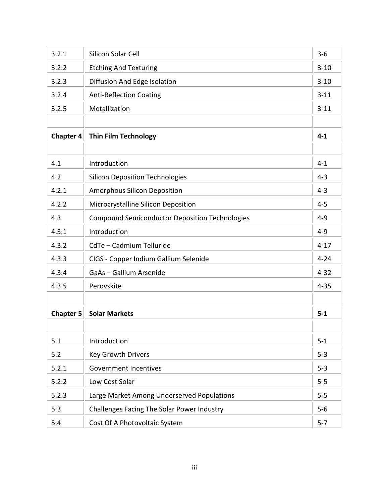| 3.2.1            | Silicon Solar Cell                                    | $3 - 6$  |
|------------------|-------------------------------------------------------|----------|
| 3.2.2            | <b>Etching And Texturing</b>                          | $3 - 10$ |
| 3.2.3            | Diffusion And Edge Isolation                          | $3 - 10$ |
| 3.2.4            | <b>Anti-Reflection Coating</b>                        | $3 - 11$ |
| 3.2.5            | Metallization                                         | $3 - 11$ |
|                  |                                                       |          |
| <b>Chapter 4</b> | <b>Thin Film Technology</b>                           | $4 - 1$  |
|                  |                                                       |          |
| 4.1              | Introduction                                          | $4 - 1$  |
| 4.2              | <b>Silicon Deposition Technologies</b>                | $4 - 3$  |
| 4.2.1            | <b>Amorphous Silicon Deposition</b>                   | $4 - 3$  |
| 4.2.2            | Microcrystalline Silicon Deposition                   | $4 - 5$  |
| 4.3              | <b>Compound Semiconductor Deposition Technologies</b> | $4 - 9$  |
| 4.3.1            | Introduction                                          | $4 - 9$  |
| 4.3.2            | CdTe - Cadmium Telluride                              | $4 - 17$ |
| 4.3.3            | CIGS - Copper Indium Gallium Selenide                 | $4 - 24$ |
| 4.3.4            | GaAs - Gallium Arsenide                               | $4 - 32$ |
| 4.3.5            | Perovskite                                            | $4 - 35$ |
|                  |                                                       |          |
| <b>Chapter 5</b> | <b>Solar Markets</b>                                  | $5-1$    |
|                  |                                                       |          |
| 5.1              | Introduction                                          | $5 - 1$  |
| 5.2              | <b>Key Growth Drivers</b>                             | $5 - 3$  |
| 5.2.1            | <b>Government Incentives</b>                          | $5 - 3$  |
| 5.2.2            | Low Cost Solar                                        | $5 - 5$  |
| 5.2.3            | Large Market Among Underserved Populations            | $5 - 5$  |
| 5.3              | Challenges Facing The Solar Power Industry            | $5-6$    |
| 5.4              | Cost Of A Photovoltaic System                         | $5 - 7$  |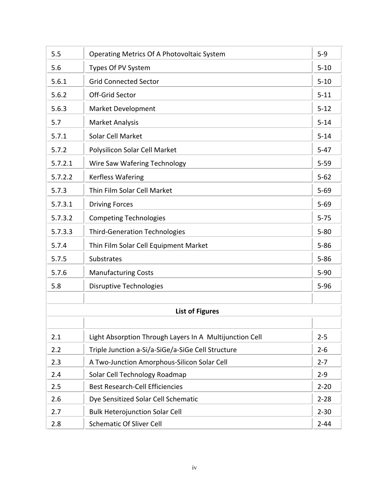| 5.5     | Operating Metrics Of A Photovoltaic System              | $5-9$    |
|---------|---------------------------------------------------------|----------|
| 5.6     | Types Of PV System                                      | $5 - 10$ |
| 5.6.1   | <b>Grid Connected Sector</b>                            | $5 - 10$ |
| 5.6.2   | Off-Grid Sector                                         | $5 - 11$ |
| 5.6.3   | <b>Market Development</b>                               | $5 - 12$ |
| 5.7     | <b>Market Analysis</b>                                  | $5 - 14$ |
| 5.7.1   | Solar Cell Market                                       | $5 - 14$ |
| 5.7.2   | Polysilicon Solar Cell Market                           | $5 - 47$ |
| 5.7.2.1 | Wire Saw Wafering Technology                            | $5 - 59$ |
| 5.7.2.2 | Kerfless Wafering                                       | $5 - 62$ |
| 5.7.3   | Thin Film Solar Cell Market                             | $5 - 69$ |
| 5.7.3.1 | <b>Driving Forces</b>                                   | $5 - 69$ |
| 5.7.3.2 | <b>Competing Technologies</b>                           | $5 - 75$ |
| 5.7.3.3 | <b>Third-Generation Technologies</b>                    | $5 - 80$ |
| 5.7.4   | Thin Film Solar Cell Equipment Market                   | $5 - 86$ |
| 5.7.5   | <b>Substrates</b>                                       | $5 - 86$ |
| 5.7.6   | <b>Manufacturing Costs</b>                              | $5-90$   |
| 5.8     | <b>Disruptive Technologies</b>                          | $5 - 96$ |
|         |                                                         |          |
|         | <b>List of Figures</b>                                  |          |
|         |                                                         |          |
| 2.1     | Light Absorption Through Layers In A Multijunction Cell | $2 - 5$  |
| 2.2     | Triple Junction a-Si/a-SiGe/a-SiGe Cell Structure       | $2 - 6$  |
| 2.3     | A Two-Junction Amorphous-Silicon Solar Cell             | $2 - 7$  |
| 2.4     | Solar Cell Technology Roadmap                           | $2 - 9$  |
| 2.5     | <b>Best Research-Cell Efficiencies</b>                  | $2 - 20$ |
| 2.6     | Dye Sensitized Solar Cell Schematic                     | $2 - 28$ |
| 2.7     | <b>Bulk Heterojunction Solar Cell</b>                   | $2 - 30$ |
| 2.8     | <b>Schematic Of Sliver Cell</b>                         | $2 - 44$ |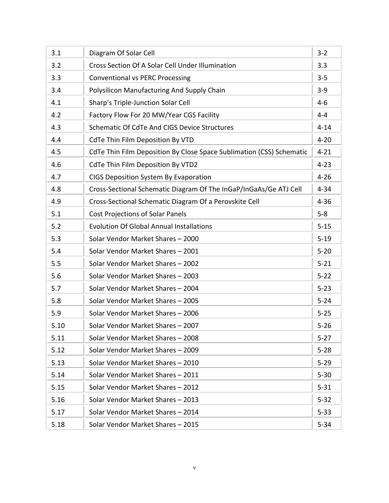| 3.1  | Diagram Of Solar Cell                                                | $3 - 2$  |
|------|----------------------------------------------------------------------|----------|
| 3.2  | Cross Section Of A Solar Cell Under Illumination                     | 3.3      |
| 3.3  | <b>Conventional vs PERC Processing</b>                               | $3 - 5$  |
| 3.4  | Polysilicon Manufacturing And Supply Chain                           | $3-9$    |
| 4.1  | Sharp's Triple-Junction Solar Cell                                   | $4-6$    |
| 4.2  | Factory Flow For 20 MW/Year CGS Facility                             | $4 - 4$  |
| 4.3  | Schematic Of CdTe And CIGS Device Structures                         | $4 - 14$ |
| 4.4  | <b>CdTe Thin Film Deposition By VTD</b>                              | $4 - 20$ |
| 4.5  | CdTe Thin Film Deposition By Close Space Sublimation (CSS) Schematic | $4 - 21$ |
| 4.6  | <b>CdTe Thin Film Deposition By VTD2</b>                             | $4 - 23$ |
| 4.7  | <b>CIGS Deposition System By Evaporation</b>                         | $4 - 26$ |
| 4.8  | Cross-Sectional Schematic Diagram Of The InGaP/InGaAs/Ge ATJ Cell    | $4 - 34$ |
| 4.9  | Cross-Sectional Schematic Diagram Of a Perovskite Cell               | $4 - 36$ |
| 5.1  | <b>Cost Projections of Solar Panels</b>                              | $5-8$    |
| 5.2  | <b>Evolution Of Global Annual Installations</b>                      | $5 - 15$ |
| 5.3  | Solar Vendor Market Shares - 2000                                    | $5 - 19$ |
| 5.4  | Solar Vendor Market Shares - 2001                                    | $5 - 20$ |
| 5.5  | Solar Vendor Market Shares - 2002                                    | $5 - 21$ |
| 5.6  | Solar Vendor Market Shares - 2003                                    | $5 - 22$ |
| 5.7  | Solar Vendor Market Shares - 2004                                    | $5 - 23$ |
| 5.8  | Solar Vendor Market Shares - 2005                                    | $5 - 24$ |
| 5.9  | Solar Vendor Market Shares - 2006                                    | $5 - 25$ |
| 5.10 | Solar Vendor Market Shares - 2007                                    | $5 - 26$ |
| 5.11 | Solar Vendor Market Shares - 2008                                    | $5 - 27$ |
| 5.12 | Solar Vendor Market Shares - 2009                                    | $5 - 28$ |
| 5.13 | Solar Vendor Market Shares - 2010                                    | $5 - 29$ |
| 5.14 | Solar Vendor Market Shares - 2011                                    | $5 - 30$ |
| 5.15 | Solar Vendor Market Shares - 2012                                    | $5 - 31$ |
| 5.16 | Solar Vendor Market Shares - 2013                                    | $5 - 32$ |
| 5.17 | Solar Vendor Market Shares - 2014                                    | $5 - 33$ |
| 5.18 | Solar Vendor Market Shares - 2015                                    | $5 - 34$ |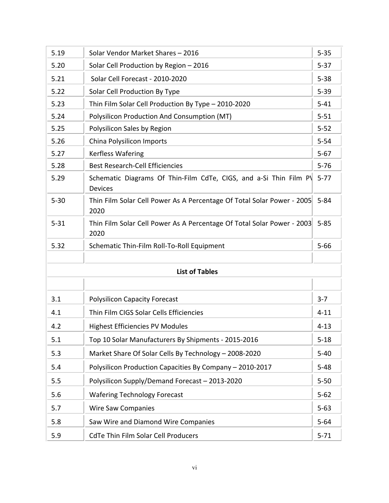| 5.19     | Solar Vendor Market Shares - 2016                                                   | $5 - 35$ |
|----------|-------------------------------------------------------------------------------------|----------|
| 5.20     | Solar Cell Production by Region - 2016                                              | $5 - 37$ |
| 5.21     | Solar Cell Forecast - 2010-2020                                                     | $5 - 38$ |
| 5.22     | Solar Cell Production By Type                                                       | $5 - 39$ |
| 5.23     | Thin Film Solar Cell Production By Type - 2010-2020                                 | $5 - 41$ |
| 5.24     | Polysilicon Production And Consumption (MT)                                         | $5 - 51$ |
| 5.25     | Polysilicon Sales by Region                                                         | $5 - 52$ |
| 5.26     | China Polysilicon Imports                                                           | $5 - 54$ |
| 5.27     | Kerfless Wafering                                                                   | $5 - 67$ |
| 5.28     | <b>Best Research-Cell Efficiencies</b>                                              | $5 - 76$ |
| 5.29     | Schematic Diagrams Of Thin-Film CdTe, CIGS, and a-Si Thin Film PV<br><b>Devices</b> | $5 - 77$ |
| $5 - 30$ | Thin Film Solar Cell Power As A Percentage Of Total Solar Power - 2005<br>2020      | $5 - 84$ |
| $5 - 31$ | Thin Film Solar Cell Power As A Percentage Of Total Solar Power - 2003<br>2020      | $5 - 85$ |
| 5.32     | Schematic Thin-Film Roll-To-Roll Equipment                                          | $5 - 66$ |
|          |                                                                                     |          |
|          | <b>List of Tables</b>                                                               |          |
|          |                                                                                     |          |
| 3.1      | <b>Polysilicon Capacity Forecast</b>                                                | $3 - 7$  |
| 4.1      | Thin Film CIGS Solar Cells Efficiencies                                             | $4 - 11$ |
| 4.2      | <b>Highest Efficiencies PV Modules</b>                                              | $4 - 13$ |
| 5.1      | Top 10 Solar Manufacturers By Shipments - 2015-2016                                 | $5 - 18$ |
| 5.3      | Market Share Of Solar Cells By Technology - 2008-2020                               | $5 - 40$ |
| 5.4      | Polysilicon Production Capacities By Company - 2010-2017                            | $5 - 48$ |
| 5.5      | Polysilicon Supply/Demand Forecast - 2013-2020                                      | $5 - 50$ |
| 5.6      | <b>Wafering Technology Forecast</b>                                                 | $5 - 62$ |
| 5.7      | <b>Wire Saw Companies</b>                                                           | $5 - 63$ |
| 5.8      | Saw Wire and Diamond Wire Companies                                                 | $5 - 64$ |
| 5.9      | <b>CdTe Thin Film Solar Cell Producers</b>                                          | $5 - 71$ |